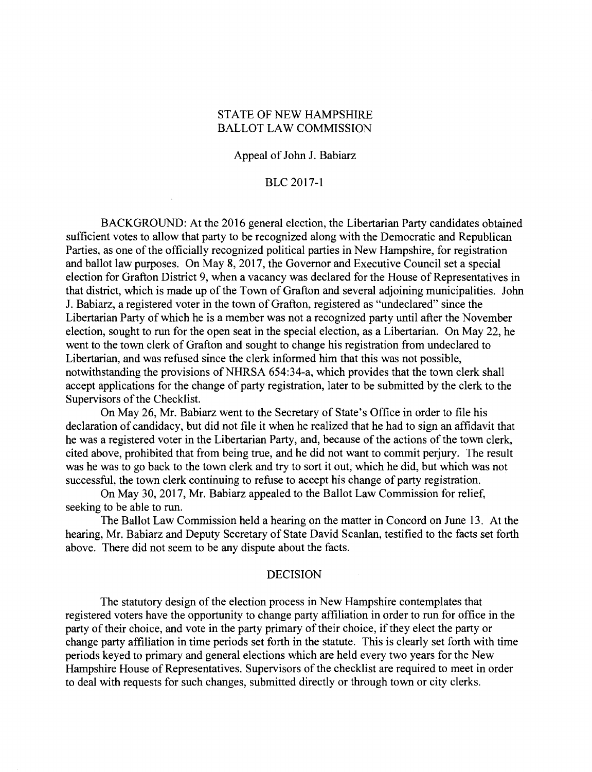# STATE OF NEW HAMPSHIRE BALLOT LAW COMMISSION

## Appeal of John J. Babiarz

# BLC 2017-1

BACKGROUND: At the 2016 general election, the Libertarian Party candidates obtained sufficient votes to allow that party to be recognized along with the Democratic and Republican Parties, as one of the officially recognized political parties in New Hampshire, for registration and ballot law purposes. On May 8, 2017, the Governor and Executive Council set a special election for Grafton District 9, when a vacancy was declared for the House of Representatives in that district, which is made up of the Town of Grafton and several adjoining municipalities. John J. Babiarz, a registered voter in the town of Grafton, registered as "undeclared" since the Libertarian Party of which he is a member was not a recognized party until after the November election, sought to run for the open seat in the special election, as a Libertarian. On May 22, he went to the town clerk of Grafton and sought to change his registration from undeclared to Libertarian, and was refused since the clerk informed him that this was not possible, notwithstanding the provisions of NHRSA 654:34-a, which provides that the town clerk shall accept applications for the change of party registration, later to be submitted by the clerk to the Supervisors of the Checklist.

On May 26, Mr. Babiarz went to the Secretary of State's Office in order to file his declaration of candidacy, but did not file it when he realized that he had to sign an affidavit that he was a registered voter in the Libertarian Party, and, because of the actions of the town clerk, cited above, prohibited that from being true, and he did not want to commit perjury. The result was he was to go back to the town clerk and try to sort it out, which he did, but which was not successful, the town clerk continuing to refuse to accept his change of party registration.

On May 30, 2017, Mr. Babiarz appealed to the Ballot Law Commission for relief, seeking to be able to run.

The Ballot Law Commission held a hearing on the matter in Concord on June 13. At the hearing, Mr. Babiarz and Deputy Secretary of State David Scanlan, testified to the facts set forth above. There did not seem to be any dispute about the facts.

## DECISION

The statutory design of the election process in New Hampshire contemplates that registered voters have the opportunity to change party affiliation in order to run for office in the party of their choice, and vote in the party primary of their choice, if they elect the party or change party affiliation in time periods set forth in the statute. This is clearly set forth with time periods keyed to primary and general elections which are held every two years for the New Hampshire House of Representatives. Supervisors of the checklist are required to meet in order to deal with requests for such changes, submitted directly or through town or city clerks.